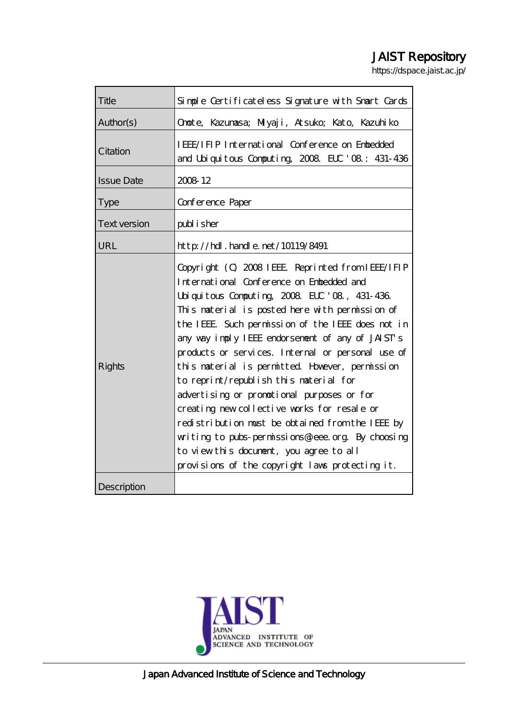# JAIST Repository

https://dspace.jaist.ac.jp/

| Title               | Simple Certificateless Signature with Snart Cards                                                                                                                                                                                                                                                                                                                                                                                                                                                                                                                                                                                                                                                                                                             |
|---------------------|---------------------------------------------------------------------------------------------------------------------------------------------------------------------------------------------------------------------------------------------------------------------------------------------------------------------------------------------------------------------------------------------------------------------------------------------------------------------------------------------------------------------------------------------------------------------------------------------------------------------------------------------------------------------------------------------------------------------------------------------------------------|
| Author(s)           | Onote, Kazunasa; Miyaji, Atsuko; Kato, Kazuhiko                                                                                                                                                                                                                                                                                                                                                                                                                                                                                                                                                                                                                                                                                                               |
| Citation            | IEEE/IFIP International Conference on Enbedded<br>and Uniquitous Computing 2008 ELC '08: 431-436                                                                                                                                                                                                                                                                                                                                                                                                                                                                                                                                                                                                                                                              |
| <b>Issue Date</b>   | 2008 12                                                                                                                                                                                                                                                                                                                                                                                                                                                                                                                                                                                                                                                                                                                                                       |
| <b>Type</b>         | Conference Paper                                                                                                                                                                                                                                                                                                                                                                                                                                                                                                                                                                                                                                                                                                                                              |
| <b>Text version</b> | publisher                                                                                                                                                                                                                                                                                                                                                                                                                                                                                                                                                                                                                                                                                                                                                     |
| URL                 | http://hdl.handle.net/10119/8491                                                                                                                                                                                                                                                                                                                                                                                                                                                                                                                                                                                                                                                                                                                              |
| <b>Rights</b>       | Copyright (C) 2008 IEEE Reprinted from IEEE/IFIP<br>International Conference on Enbedded and<br>Uniquitous Computing, 2008, ELC '08, 431-436.<br>This material is posted here with permission of<br>the IEEE. Such permission of the IEEE does not in<br>any way imply IEEE endorsement of any of JAIST's<br>products or services. Internal or personal use of<br>this naterial is permitted However, permission<br>to reprint/republish this naterial for<br>advertising or promotional purposes or for<br>creating new collective works for resale or<br>redistribution must be obtained from the IEEE by<br>writing to pubs-permissions@ieee.org By choosing<br>to view this document, you agree to all<br>provisions of the copyright laws protecting it. |
| Description         |                                                                                                                                                                                                                                                                                                                                                                                                                                                                                                                                                                                                                                                                                                                                                               |

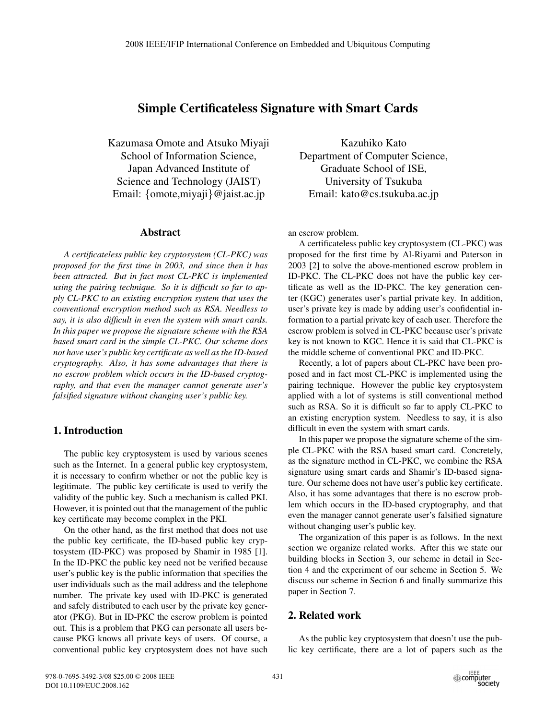# **Simple Certificateless Signature with Smart Cards**

Kazumasa Omote and Atsuko Miyaji School of Information Science, Japan Advanced Institute of Science and Technology (JAIST) Email: {omote,miyaji}@jaist.ac.jp

#### **Abstract**

*A certificateless public key cryptosystem (CL-PKC) was proposed for the first time in 2003, and since then it has been attracted. But in fact most CL-PKC is implemented using the pairing technique. So it is difficult so far to apply CL-PKC to an existing encryption system that uses the conventional encryption method such as RSA. Needless to say, it is also difficult in even the system with smart cards. In this paper we propose the signature scheme with the RSA based smart card in the simple CL-PKC. Our scheme does not have user's public key certificate as well as the ID-based cryptography. Also, it has some advantages that there is no escrow problem which occurs in the ID-based cryptography, and that even the manager cannot generate user's falsified signature without changing user's public key.*

# **1. Introduction**

The public key cryptosystem is used by various scenes such as the Internet. In a general public key cryptosystem, it is necessary to confirm whether or not the public key is legitimate. The public key certificate is used to verify the validity of the public key. Such a mechanism is called PKI. However, it is pointed out that the management of the public key certificate may become complex in the PKI.

On the other hand, as the first method that does not use the public key certificate, the ID-based public key cryptosystem (ID-PKC) was proposed by Shamir in 1985 [1]. In the ID-PKC the public key need not be verified because user's public key is the public information that specifies the user individuals such as the mail address and the telephone number. The private key used with ID-PKC is generated and safely distributed to each user by the private key generator (PKG). But in ID-PKC the escrow problem is pointed out. This is a problem that PKG can personate all users because PKG knows all private keys of users. Of course, a conventional public key cryptosystem does not have such

Kazuhiko Kato Department of Computer Science, Graduate School of ISE, University of Tsukuba Email: kato@cs.tsukuba.ac.jp

an escrow problem.

A certificateless public key cryptosystem (CL-PKC) was proposed for the first time by Al-Riyami and Paterson in 2003 [2] to solve the above-mentioned escrow problem in ID-PKC. The CL-PKC does not have the public key certificate as well as the ID-PKC. The key generation center (KGC) generates user's partial private key. In addition, user's private key is made by adding user's confidential information to a partial private key of each user. Therefore the escrow problem is solved in CL-PKC because user's private key is not known to KGC. Hence it is said that CL-PKC is the middle scheme of conventional PKC and ID-PKC.

Recently, a lot of papers about CL-PKC have been proposed and in fact most CL-PKC is implemented using the pairing technique. However the public key cryptosystem applied with a lot of systems is still conventional method such as RSA. So it is difficult so far to apply CL-PKC to an existing encryption system. Needless to say, it is also difficult in even the system with smart cards.

In this paper we propose the signature scheme of the simple CL-PKC with the RSA based smart card. Concretely, as the signature method in CL-PKC, we combine the RSA signature using smart cards and Shamir's ID-based signature. Our scheme does not have user's public key certificate. Also, it has some advantages that there is no escrow problem which occurs in the ID-based cryptography, and that even the manager cannot generate user's falsified signature without changing user's public key.

The organization of this paper is as follows. In the next section we organize related works. After this we state our building blocks in Section 3, our scheme in detail in Section 4 and the experiment of our scheme in Section 5. We discuss our scheme in Section 6 and finally summarize this paper in Section 7.

# **2. Related work**

As the public key cryptosystem that doesn't use the public key certificate, there are a lot of papers such as the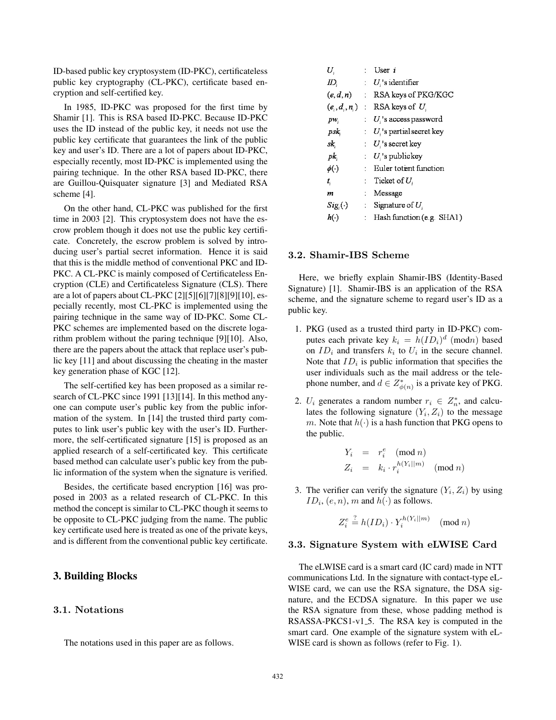ID-based public key cryptosystem (ID-PKC), certificateless public key cryptography (CL-PKC), certificate based encryption and self-certified key.

In 1985, ID-PKC was proposed for the first time by Shamir [1]. This is RSA based ID-PKC. Because ID-PKC uses the ID instead of the public key, it needs not use the public key certificate that guarantees the link of the public key and user's ID. There are a lot of papers about ID-PKC, especially recently, most ID-PKC is implemented using the pairing technique. In the other RSA based ID-PKC, there are Guillou-Quisquater signature [3] and Mediated RSA scheme [4].

On the other hand, CL-PKC was published for the first time in 2003 [2]. This cryptosystem does not have the escrow problem though it does not use the public key certificate. Concretely, the escrow problem is solved by introducing user's partial secret information. Hence it is said that this is the middle method of conventional PKC and ID-PKC. A CL-PKC is mainly composed of Certificateless Encryption (CLE) and Certificateless Signature (CLS). There are a lot of papers about CL-PKC [2][5][6][7][8][9][10], especially recently, most CL-PKC is implemented using the pairing technique in the same way of ID-PKC. Some CL-PKC schemes are implemented based on the discrete logarithm problem without the paring technique [9][10]. Also, there are the papers about the attack that replace user's public key [11] and about discussing the cheating in the master key generation phase of KGC [12].

The self-certified key has been proposed as a similar research of CL-PKC since 1991 [13][14]. In this method anyone can compute user's public key from the public information of the system. In [14] the trusted third party computes to link user's public key with the user's ID. Furthermore, the self-certificated signature [15] is proposed as an applied research of a self-certificated key. This certificate based method can calculate user's public key from the public information of the system when the signature is verified.

Besides, the certificate based encryption [16] was proposed in 2003 as a related research of CL-PKC. In this method the concept is similar to CL-PKC though it seems to be opposite to CL-PKC judging from the name. The public key certificate used here is treated as one of the private keys, and is different from the conventional public key certificate.

#### **3. Building Blocks**

## **3.1. Notations**

The notations used in this paper are as follows.

| U.            | User $i$                                       |
|---------------|------------------------------------------------|
| ID.           | $Ui$ 's identifier                             |
|               | $(e, d, n)$ : RSA keys of PKG/KGC              |
|               | $(e_i, d_i, n_i)$ : RSA keys of U <sub>i</sub> |
| pw,           | $\therefore$ U s access password               |
| psk,          | $U_i$ 's partial secret key                    |
| sk,           | $U$ 's secret key                              |
| pk,           | $U_i$ 's publickey                             |
| $\phi(\cdot)$ | : Euler totent function                        |
| t.            | Ticket of $U_i$                                |
| m             | $\therefore$ Message                           |
| $Sig(\cdot)$  | $\therefore$ Signature of U.                   |
| $h(\cdot)$    | : Hash function (e.g. SHA1)                    |

#### **3.2. Shamir-IBS Scheme**

Here, we briefly explain Shamir-IBS (Identity-Based Signature) [1]. Shamir-IBS is an application of the RSA scheme, and the signature scheme to regard user's ID as a public key.

- 1. PKG (used as a trusted third party in ID-PKC) computes each private key  $k_i = h(ID_i)^d$  (modn) based on  $ID_i$  and transfers  $k_i$  to  $U_i$  in the secure channel. Note that  $ID_i$  is public information that specifies the user individuals such as the mail address or the telephone number, and  $d \in Z_{\phi(n)}^*$  is a private key of PKG.
- 2.  $U_i$  generates a random number  $r_i \in Z_n^*$ , and calculates the following signature  $(Y_i, Z_i)$  to the message m. Note that  $h(\cdot)$  is a hash function that PKG opens to the public.

$$
Y_i = r_i^e \pmod{n}
$$
  

$$
Z_i = k_i \cdot r_i^{h(Y_i||m)} \pmod{n}
$$

3. The verifier can verify the signature  $(Y_i, Z_i)$  by using  $ID_i$ ,  $(e, n)$ , m and  $h(\cdot)$  as follows.

$$
Z_i^e \stackrel{?}{=} h(ID_i) \cdot Y_i^{h(Y_i||m)} \pmod{n}
$$

#### **3.3. Signature System with eLWISE Card**

The eLWISE card is a smart card (IC card) made in NTT communications Ltd. In the signature with contact-type eL-WISE card, we can use the RSA signature, the DSA signature, and the ECDSA signature. In this paper we use the RSA signature from these, whose padding method is RSASSA-PKCS1-v1 5. The RSA key is computed in the smart card. One example of the signature system with eL-WISE card is shown as follows (refer to Fig. 1).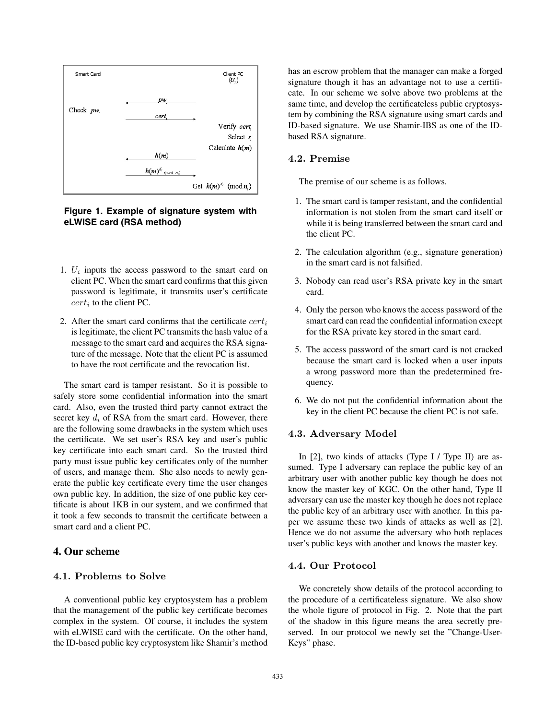

## **Figure 1. Example of signature system with eLWISE card (RSA method)**

- 1.  $U_i$  inputs the access password to the smart card on client PC. When the smart card confirms that this given password is legitimate, it transmits user's certificate  $cert_i$  to the client PC.
- 2. After the smart card confirms that the certificate  $cert_i$ is legitimate, the client PC transmits the hash value of a message to the smart card and acquires the RSA signature of the message. Note that the client PC is assumed to have the root certificate and the revocation list.

The smart card is tamper resistant. So it is possible to safely store some confidential information into the smart card. Also, even the trusted third party cannot extract the secret key  $d_i$  of RSA from the smart card. However, there are the following some drawbacks in the system which uses the certificate. We set user's RSA key and user's public key certificate into each smart card. So the trusted third party must issue public key certificates only of the number of users, and manage them. She also needs to newly generate the public key certificate every time the user changes own public key. In addition, the size of one public key certificate is about 1KB in our system, and we confirmed that it took a few seconds to transmit the certificate between a smart card and a client PC.

## **4. Our scheme**

#### **4.1. Problems to Solve**

A conventional public key cryptosystem has a problem that the management of the public key certificate becomes complex in the system. Of course, it includes the system with eLWISE card with the certificate. On the other hand, the ID-based public key cryptosystem like Shamir's method

has an escrow problem that the manager can make a forged signature though it has an advantage not to use a certificate. In our scheme we solve above two problems at the same time, and develop the certificateless public cryptosystem by combining the RSA signature using smart cards and ID-based signature. We use Shamir-IBS as one of the IDbased RSA signature.

#### **4.2. Premise**

The premise of our scheme is as follows.

- 1. The smart card is tamper resistant, and the confidential information is not stolen from the smart card itself or while it is being transferred between the smart card and the client PC.
- 2. The calculation algorithm (e.g., signature generation) in the smart card is not falsified.
- 3. Nobody can read user's RSA private key in the smart card.
- 4. Only the person who knows the access password of the smart card can read the confidential information except for the RSA private key stored in the smart card.
- 5. The access password of the smart card is not cracked because the smart card is locked when a user inputs a wrong password more than the predetermined frequency.
- 6. We do not put the confidential information about the key in the client PC because the client PC is not safe.

#### **4.3. Adversary Model**

In [2], two kinds of attacks (Type I / Type II) are assumed. Type I adversary can replace the public key of an arbitrary user with another public key though he does not know the master key of KGC. On the other hand, Type II adversary can use the master key though he does not replace the public key of an arbitrary user with another. In this paper we assume these two kinds of attacks as well as [2]. Hence we do not assume the adversary who both replaces user's public keys with another and knows the master key.

#### **4.4. Our Protocol**

We concretely show details of the protocol according to the procedure of a certificateless signature. We also show the whole figure of protocol in Fig. 2. Note that the part of the shadow in this figure means the area secretly preserved. In our protocol we newly set the "Change-User-Keys" phase.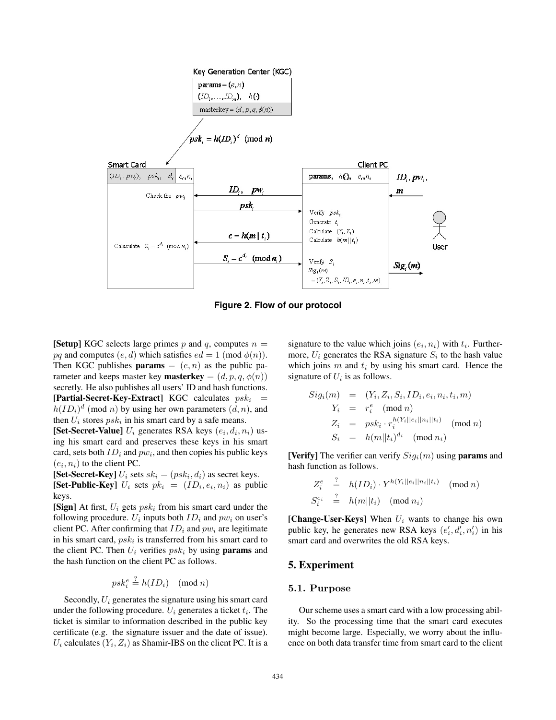



**[Setup]** KGC selects large primes p and q, computes  $n =$ pq and computes  $(e, d)$  which satisfies  $ed = 1 \pmod{\phi(n)}$ . Then KGC publishes **params**  $= (e, n)$  as the public parameter and keeps master key **masterkey** =  $(d, p, q, \phi(n))$ secretly. He also publishes all users' ID and hash functions. **[Partial-Secret-Key-Extract]** KGC calculates  $psk_i$  =  $h(ID_i)^d$  (mod n) by using her own parameters  $(d, n)$ , and then  $U_i$  stores  $psk_i$  in his smart card by a safe means.

**[Set-Secret-Value]**  $U_i$  generates RSA keys  $(e_i, d_i, n_i)$  using his smart card and preserves these keys in his smart card, sets both  $ID_i$  and  $pw_i$ , and then copies his public keys  $(e_i, n_i)$  to the client PC.

**[Set-Secret-Key]**  $U_i$  sets  $sk_i = (psk_i, d_i)$  as secret keys. **[Set-Public-Key]**  $U_i$  sets  $pk_i = (ID_i, e_i, n_i)$  as public keys.

**[Sign]** At first,  $U_i$  gets  $psk_i$  from his smart card under the following procedure.  $U_i$  inputs both  $ID_i$  and  $pw_i$  on user's client PC. After confirming that  $ID_i$  and  $pw_i$  are legitimate in his smart card,  $psk_i$  is transferred from his smart card to the client PC. Then  $U_i$  verifies  $psk_i$  by using **params** and the hash function on the client PC as follows.

$$
psk_i^e \stackrel{?}{=} h(ID_i) \pmod{n}
$$

Secondly,  $U_i$  generates the signature using his smart card under the following procedure.  $U_i$  generates a ticket  $t_i$ . The ticket is similar to information described in the public key certificate (e.g. the signature issuer and the date of issue).  $U_i$  calculates  $(Y_i, Z_i)$  as Shamir-IBS on the client PC. It is a signature to the value which joins  $(e_i, n_i)$  with  $t_i$ . Furthermore,  $U_i$  generates the RSA signature  $S_i$  to the hash value which joins  $m$  and  $t_i$  by using his smart card. Hence the signature of  $U_i$  is as follows.

$$
Sig_i(m) = (Y_i, Z_i, S_i, ID_i, e_i, n_i, t_i, m)
$$
  
\n
$$
Y_i = r_i^e \pmod{n}
$$
  
\n
$$
Z_i = p s k_i \cdot r_i^{h(Y_i||e_i||n_i||t_i)} \pmod{n}
$$
  
\n
$$
S_i = h(m||t_i)^{d_i} \pmod{n_i}
$$

**[Verify]** The verifier can verify  $Sig_i(m)$  using **params** and hash function as follows.

$$
Z_i^e \stackrel{?}{=} h(ID_i) \cdot Y^{h(Y_i||e_i||n_i||t_i)} \pmod{n}
$$
  

$$
S_i^{e_i} \stackrel{?}{=} h(m||t_i) \pmod{n_i}
$$

**[Change-User-Keys]** When  $U_i$  wants to change his own public key, he generates new RSA keys  $(e'_i, d'_i, n'_i)$  in his smart card and overwrites the old RSA keys.

#### **5. Experiment**

#### **5.1. Purpose**

Our scheme uses a smart card with a low processing ability. So the processing time that the smart card executes might become large. Especially, we worry about the influence on both data transfer time from smart card to the client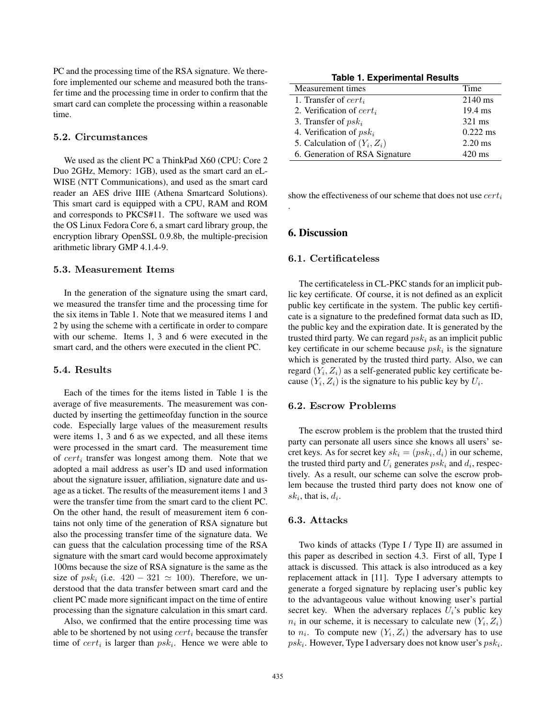PC and the processing time of the RSA signature. We therefore implemented our scheme and measured both the transfer time and the processing time in order to confirm that the smart card can complete the processing within a reasonable time.

## **5.2. Circumstances**

We used as the client PC a ThinkPad X60 (CPU: Core 2 Duo 2GHz, Memory: 1GB), used as the smart card an eL-WISE (NTT Communications), and used as the smart card reader an AES drive IIIE (Athena Smartcard Solutions). This smart card is equipped with a CPU, RAM and ROM and corresponds to PKCS#11. The software we used was the OS Linux Fedora Core 6, a smart card library group, the encryption library OpenSSL 0.9.8b, the multiple-precision arithmetic library GMP 4.1.4-9.

#### **5.3. Measurement Items**

In the generation of the signature using the smart card, we measured the transfer time and the processing time for the six items in Table 1. Note that we measured items 1 and 2 by using the scheme with a certificate in order to compare with our scheme. Items 1, 3 and 6 were executed in the smart card, and the others were executed in the client PC.

## **5.4. Results**

Each of the times for the items listed in Table 1 is the average of five measurements. The measurement was conducted by inserting the gettimeofday function in the source code. Especially large values of the measurement results were items 1, 3 and 6 as we expected, and all these items were processed in the smart card. The measurement time of  $cert_i$  transfer was longest among them. Note that we adopted a mail address as user's ID and used information about the signature issuer, affiliation, signature date and usage as a ticket. The results of the measurement items 1 and 3 were the transfer time from the smart card to the client PC. On the other hand, the result of measurement item 6 contains not only time of the generation of RSA signature but also the processing transfer time of the signature data. We can guess that the calculation processing time of the RSA signature with the smart card would become approximately 100ms because the size of RSA signature is the same as the size of  $psk_i$  (i.e.  $420 - 321 \simeq 100$ ). Therefore, we understood that the data transfer between smart card and the client PC made more significant impact on the time of entire processing than the signature calculation in this smart card.

Also, we confirmed that the entire processing time was able to be shortened by not using  $cert_i$  because the transfer time of  $cert_i$  is larger than  $psk_i$ . Hence we were able to

**Table 1. Experimental Results**

| Measurement times              | Time             |
|--------------------------------|------------------|
| 1. Transfer of $cert_i$        | 2140 ms          |
| 2. Verification of $cert_i$    | 19.4 ms          |
| 3. Transfer of $psk_i$         | 321 ms           |
| 4. Verification of $psk_i$     | $0.222$ ms       |
| 5. Calculation of $(Y_i, Z_i)$ | $2.20$ ms        |
| 6. Generation of RSA Signature | $420 \text{ ms}$ |

show the effectiveness of our scheme that does not use  $cert_i$ 

#### **6. Discussion**

.

#### **6.1. Certificateless**

The certificateless in CL-PKC stands for an implicit public key certificate. Of course, it is not defined as an explicit public key certificate in the system. The public key certificate is a signature to the predefined format data such as ID, the public key and the expiration date. It is generated by the trusted third party. We can regard  $psk_i$  as an implicit public key certificate in our scheme because  $psk_i$  is the signature which is generated by the trusted third party. Also, we can regard  $(Y_i, Z_i)$  as a self-generated public key certificate because  $(Y_i, Z_i)$  is the signature to his public key by  $U_i$ .

#### **6.2. Escrow Problems**

The escrow problem is the problem that the trusted third party can personate all users since she knows all users' secret keys. As for secret key  $sk_i = (psk_i, d_i)$  in our scheme, the trusted third party and  $U_i$  generates  $psk_i$  and  $d_i$ , respectively. As a result, our scheme can solve the escrow problem because the trusted third party does not know one of  $sk_i$ , that is,  $d_i$ .

#### **6.3. Attacks**

Two kinds of attacks (Type I / Type II) are assumed in this paper as described in section 4.3. First of all, Type I attack is discussed. This attack is also introduced as a key replacement attack in [11]. Type I adversary attempts to generate a forged signature by replacing user's public key to the advantageous value without knowing user's partial secret key. When the adversary replaces  $U_i$ 's public key  $n_i$  in our scheme, it is necessary to calculate new  $(Y_i, Z_i)$ to  $n_i$ . To compute new  $(Y_i, Z_i)$  the adversary has to use  $psk_i$ . However, Type I adversary does not know user's  $psk_i$ .